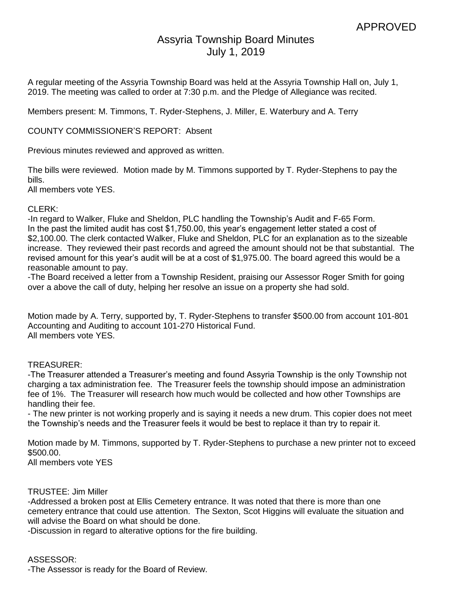# Assyria Township Board Minutes July 1, 2019

A regular meeting of the Assyria Township Board was held at the Assyria Township Hall on, July 1, 2019. The meeting was called to order at 7:30 p.m. and the Pledge of Allegiance was recited.

Members present: M. Timmons, T. Ryder-Stephens, J. Miller, E. Waterbury and A. Terry

#### COUNTY COMMISSIONER'S REPORT: Absent

Previous minutes reviewed and approved as written.

The bills were reviewed. Motion made by M. Timmons supported by T. Ryder-Stephens to pay the bills.

All members vote YES.

#### CLERK:

-In regard to Walker, Fluke and Sheldon, PLC handling the Township's Audit and F-65 Form. In the past the limited audit has cost \$1,750.00, this year's engagement letter stated a cost of \$2,100.00. The clerk contacted Walker, Fluke and Sheldon, PLC for an explanation as to the sizeable increase. They reviewed their past records and agreed the amount should not be that substantial. The revised amount for this year's audit will be at a cost of \$1,975.00. The board agreed this would be a reasonable amount to pay.

-The Board received a letter from a Township Resident, praising our Assessor Roger Smith for going over a above the call of duty, helping her resolve an issue on a property she had sold.

Motion made by A. Terry, supported by, T. Ryder-Stephens to transfer \$500.00 from account 101-801 Accounting and Auditing to account 101-270 Historical Fund. All members vote YES.

## TREASURER:

-The Treasurer attended a Treasurer's meeting and found Assyria Township is the only Township not charging a tax administration fee. The Treasurer feels the township should impose an administration fee of 1%. The Treasurer will research how much would be collected and how other Townships are handling their fee.

- The new printer is not working properly and is saying it needs a new drum. This copier does not meet the Township's needs and the Treasurer feels it would be best to replace it than try to repair it.

Motion made by M. Timmons, supported by T. Ryder-Stephens to purchase a new printer not to exceed \$500.00.

All members vote YES

## TRUSTEE: Jim Miller

-Addressed a broken post at Ellis Cemetery entrance. It was noted that there is more than one cemetery entrance that could use attention. The Sexton, Scot Higgins will evaluate the situation and will advise the Board on what should be done.

-Discussion in regard to alterative options for the fire building.

## ASSESSOR:

-The Assessor is ready for the Board of Review.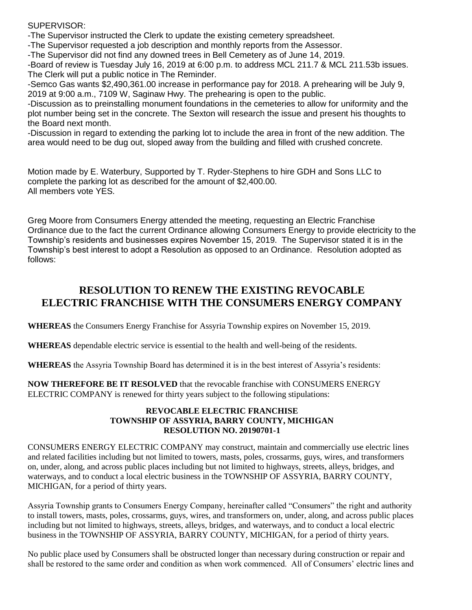SUPERVISOR:

-The Supervisor instructed the Clerk to update the existing cemetery spreadsheet.

-The Supervisor requested a job description and monthly reports from the Assessor.

-The Supervisor did not find any downed trees in Bell Cemetery as of June 14, 2019.

-Board of review is Tuesday July 16, 2019 at 6:00 p.m. to address MCL 211.7 & MCL 211.53b issues. The Clerk will put a public notice in The Reminder.

-Semco Gas wants \$2,490,361.00 increase in performance pay for 2018. A prehearing will be July 9, 2019 at 9:00 a.m., 7109 W, Saginaw Hwy. The prehearing is open to the public.

-Discussion as to preinstalling monument foundations in the cemeteries to allow for uniformity and the plot number being set in the concrete. The Sexton will research the issue and present his thoughts to the Board next month.

-Discussion in regard to extending the parking lot to include the area in front of the new addition. The area would need to be dug out, sloped away from the building and filled with crushed concrete.

Motion made by E. Waterbury, Supported by T. Ryder-Stephens to hire GDH and Sons LLC to complete the parking lot as described for the amount of \$2,400.00. All members vote YES.

Greg Moore from Consumers Energy attended the meeting, requesting an Electric Franchise Ordinance due to the fact the current Ordinance allowing Consumers Energy to provide electricity to the Township's residents and businesses expires November 15, 2019. The Supervisor stated it is in the Township's best interest to adopt a Resolution as opposed to an Ordinance. Resolution adopted as follows:

## **RESOLUTION TO RENEW THE EXISTING REVOCABLE ELECTRIC FRANCHISE WITH THE CONSUMERS ENERGY COMPANY**

**WHEREAS** the Consumers Energy Franchise for Assyria Township expires on November 15, 2019.

**WHEREAS** dependable electric service is essential to the health and well-being of the residents.

**WHEREAS** the Assyria Township Board has determined it is in the best interest of Assyria's residents:

**NOW THEREFORE BE IT RESOLVED** that the revocable franchise with CONSUMERS ENERGY ELECTRIC COMPANY is renewed for thirty years subject to the following stipulations:

#### **REVOCABLE ELECTRIC FRANCHISE TOWNSHIP OF ASSYRIA, BARRY COUNTY, MICHIGAN RESOLUTION NO. 20190701-1**

CONSUMERS ENERGY ELECTRIC COMPANY may construct, maintain and commercially use electric lines and related facilities including but not limited to towers, masts, poles, crossarms, guys, wires, and transformers on, under, along, and across public places including but not limited to highways, streets, alleys, bridges, and waterways, and to conduct a local electric business in the TOWNSHIP OF ASSYRIA, BARRY COUNTY, MICHIGAN, for a period of thirty years.

Assyria Township grants to Consumers Energy Company, hereinafter called "Consumers" the right and authority to install towers, masts, poles, crossarms, guys, wires, and transformers on, under, along, and across public places including but not limited to highways, streets, alleys, bridges, and waterways, and to conduct a local electric business in the TOWNSHIP OF ASSYRIA, BARRY COUNTY, MICHIGAN, for a period of thirty years.

No public place used by Consumers shall be obstructed longer than necessary during construction or repair and shall be restored to the same order and condition as when work commenced. All of Consumers' electric lines and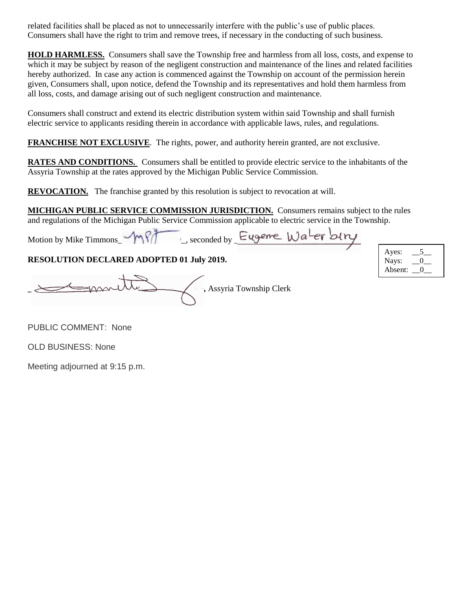related facilities shall be placed as not to unnecessarily interfere with the public's use of public places. Consumers shall have the right to trim and remove trees, if necessary in the conducting of such business.

**HOLD HARMLESS.** Consumers shall save the Township free and harmless from all loss, costs, and expense to which it may be subject by reason of the negligent construction and maintenance of the lines and related facilities hereby authorized. In case any action is commenced against the Township on account of the permission herein given, Consumers shall, upon notice, defend the Township and its representatives and hold them harmless from all loss, costs, and damage arising out of such negligent construction and maintenance.

Consumers shall construct and extend its electric distribution system within said Township and shall furnish electric service to applicants residing therein in accordance with applicable laws, rules, and regulations.

**FRANCHISE NOT EXCLUSIVE.** The rights, power, and authority herein granted, are not exclusive.

**RATES AND CONDITIONS.** Consumers shall be entitled to provide electric service to the inhabitants of the Assyria Township at the rates approved by the Michigan Public Service Commission.

**REVOCATION.** The franchise granted by this resolution is subject to revocation at will.

**MICHIGAN PUBLIC SERVICE COMMISSION JURISDICTION.** Consumers remains subject to the rules and regulations of the Michigan Public Service Commission applicable to electric service in the Township.

Motion by Mike Timmons\_ MPT ... seconded by Eugene Water biry

**RESOLUTION DECLARED ADOPTED 01 July 2019.**

**\_\_\_\_ \_\_\_\_\_\_\_\_\_\_\_\_\_\_\_\_\_\_\_\_\_\_\_\_\_\_\_\_\_\_\_\_\_ \_\_\_,** Assyria Township Clerk

Ayes: Nays: 0 Absent: 0

PUBLIC COMMENT: None

OLD BUSINESS: None

Meeting adjourned at 9:15 p.m.